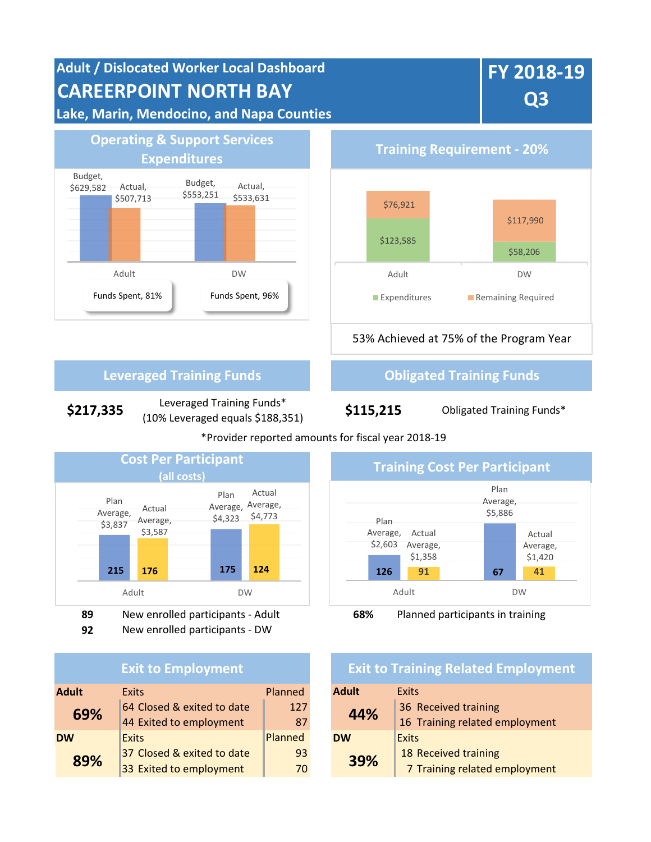

**\$217,335** Leveraged Training Funds\* (10% Leveraged equals \$188,351) **\$115,215** Obligated Training Funds\*

### \*Provider reported amounts for fiscal year 2018-19



- 
- **92** New enrolled participants DW

### **Exit to Employment**

| <b>Adult</b><br><b>Exits</b> |                            | Planned | <b>Adult</b> | Exits                 |
|------------------------------|----------------------------|---------|--------------|-----------------------|
| 69%                          | 64 Closed & exited to date | 127     | 44%          | 36 Received training  |
|                              | 44 Exited to employment    | 87      |              | 16 Training related e |
| <b>DW</b>                    | <b>Exits</b>               | Planned | <b>DW</b>    | <b>Exits</b>          |
| 89%                          | 37 Closed & exited to date | 93      | 39%          | 18 Received training  |
|                              | 33 Exited to employment    | 70      |              | 7 Training related e  |



# **Exit to Training Related Employment**

| <b>Exits</b>               | Planned |  | <b>Adult</b> | <b>Exits</b>                   |  |
|----------------------------|---------|--|--------------|--------------------------------|--|
| 64 Closed & exited to date | 127     |  | 44%          | 36 Received training           |  |
| 44 Exited to employment    | 87      |  |              | 16 Training related employment |  |
| <b>Exits</b>               | Planned |  | <b>DW</b>    | <b>Exits</b>                   |  |
| 37 Closed & exited to date | 93      |  | 39%          | 18 Received training           |  |
| 33 Exited to employment    | 70      |  |              | 7 Training related employment  |  |
|                            |         |  |              |                                |  |